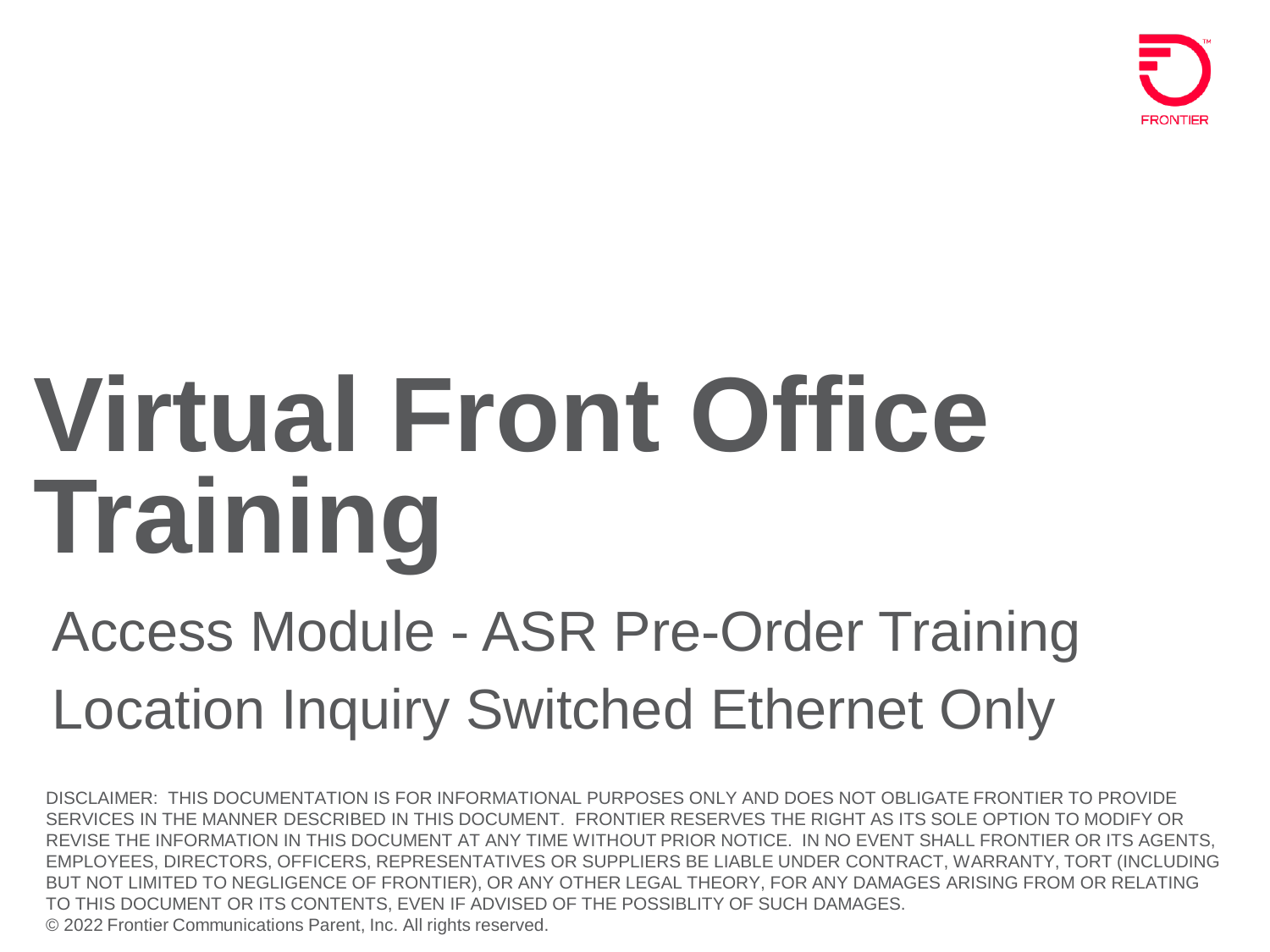

# **Virtual Front Office Training**

## Access Module - ASR Pre-Order Training Location Inquiry Switched Ethernet Only

DISCLAIMER: THIS DOCUMENTATION IS FOR INFORMATIONAL PURPOSES ONLY AND DOES NOT OBLIGATE FRONTIER TO PROVIDE SERVICES IN THE MANNER DESCRIBED IN THIS DOCUMENT. FRONTIER RESERVES THE RIGHT AS ITS SOLE OPTION TO MODIFY OR REVISE THE INFORMATION IN THIS DOCUMENT AT ANY TIME WITHOUT PRIOR NOTICE. IN NO EVENT SHALL FRONTIER OR ITS AGENTS, EMPLOYEES, DIRECTORS, OFFICERS, REPRESENTATIVES OR SUPPLIERS BE LIABLE UNDER CONTRACT, WARRANTY, TORT (INCLUDING BUT NOT LIMITED TO NEGLIGENCE OF FRONTIER), OR ANY OTHER LEGAL THEORY, FOR ANY DAMAGES ARISING FROM OR RELATING TO THIS DOCUMENT OR ITS CONTENTS, EVEN IF ADVISED OF THE POSSIBLITY OF SUCH DAMAGES. © 2022 Frontier Communications Parent, Inc. All rights reserved.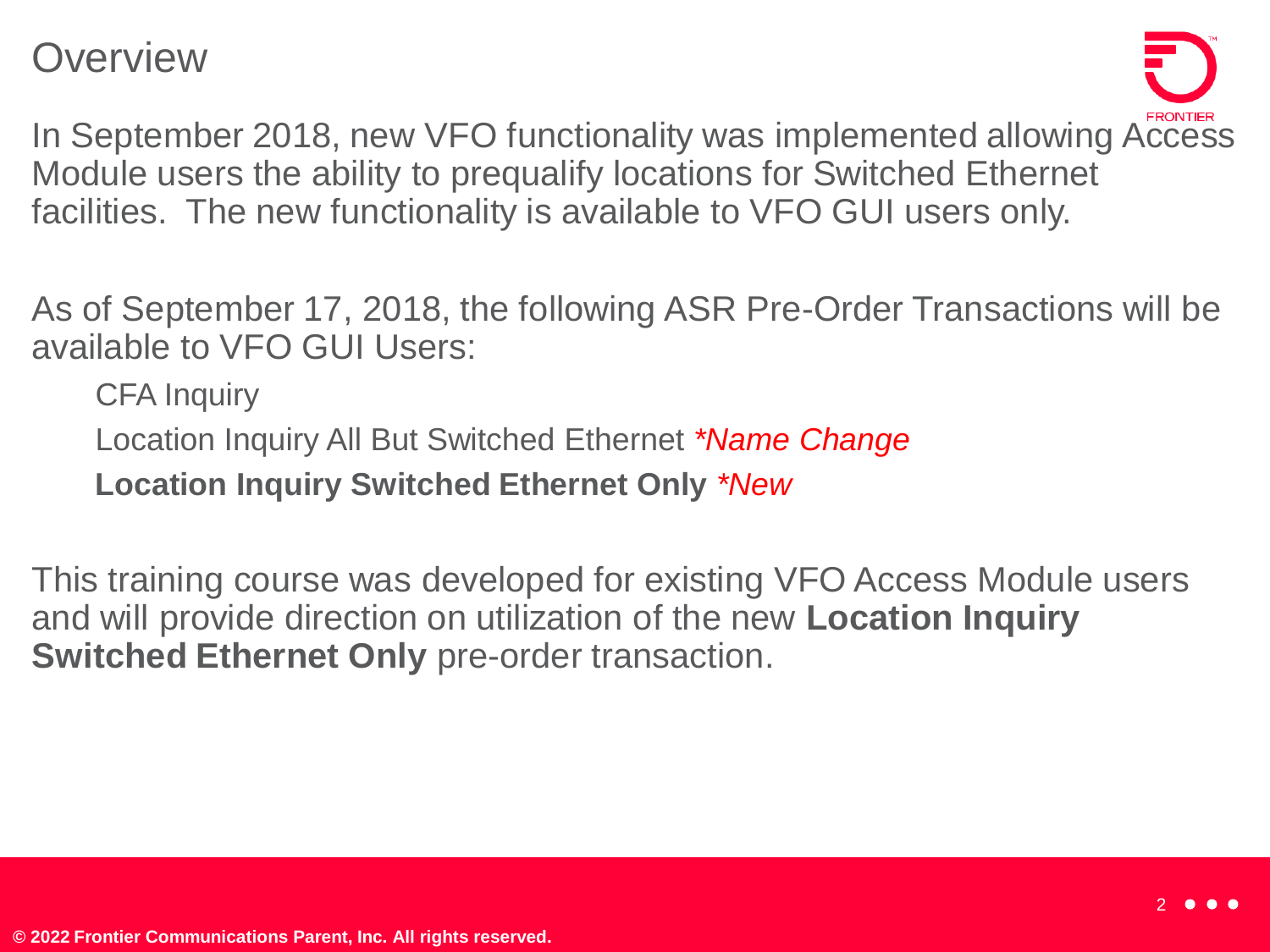**Overview** 



In September 2018, new VFO functionality was implemented allowing Access Module users the ability to prequalify locations for Switched Ethernet facilities. The new functionality is available to VFO GUI users only.

As of September 17, 2018, the following ASR Pre-Order Transactions will be available to VFO GUI Users:

**CFA** Inquiry

• Location Inquiry All But Switched Ethernet *\*Name Change*

• **Location Inquiry Switched Ethernet Only** *\*New*

This training course was developed for existing VFO Access Module users and will provide direction on utilization of the new **Location Inquiry Switched Ethernet Only** pre-order transaction.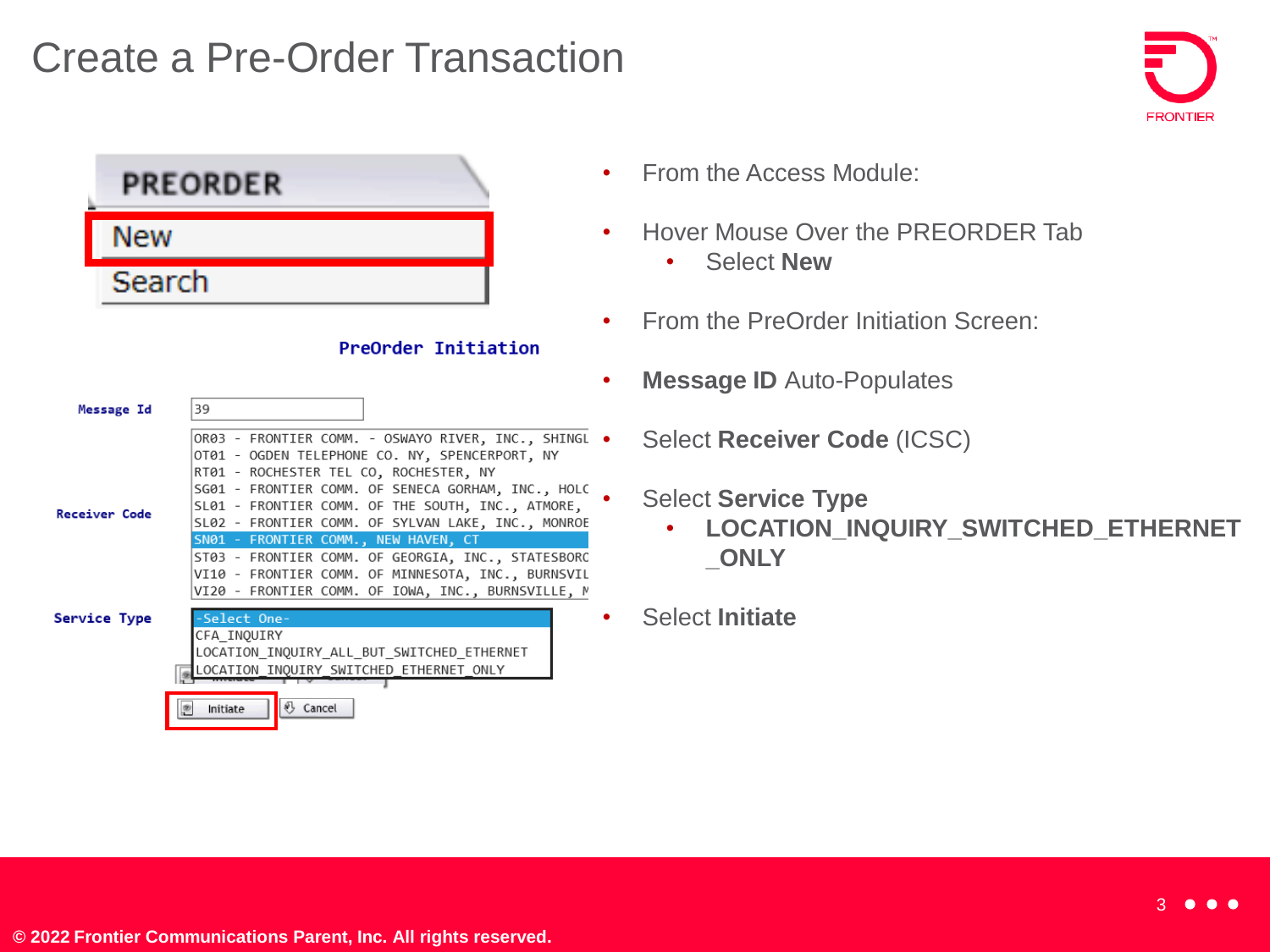#### Create a Pre-Order Transaction



|                      | <b>PREORDER</b>                                                                                                                                                                                         | From        |
|----------------------|---------------------------------------------------------------------------------------------------------------------------------------------------------------------------------------------------------|-------------|
| <b>New</b>           |                                                                                                                                                                                                         | <b>Hove</b> |
| Search               |                                                                                                                                                                                                         |             |
|                      | <b>PreOrder Initiation</b>                                                                                                                                                                              | From        |
| Message Id           | 39                                                                                                                                                                                                      | <b>Mes</b>  |
|                      | OR03 - FRONTIER COMM. - OSWAYO RIVER, INC., SHINGL .<br>OT01 - OGDEN TELEPHONE CO. NY, SPENCERPORT, NY                                                                                                  | Sele        |
| <b>Receiver Code</b> | RT01 - ROCHESTER TEL CO, ROCHESTER, NY<br>SG01 - FRONTIER COMM. OF SENECA GORHAM, INC., HOLC<br>SL01 - FRONTIER COMM. OF THE SOUTH, INC., ATMORE,<br>SL02 - FRONTIER COMM. OF SYLVAN LAKE, INC., MONROE | <b>Sele</b> |
|                      | SN01 - FRONTIER COMM., NEW HAVEN, CT<br>ST03 - FRONTIER COMM. OF GEORGIA, INC., STATESBORO<br>VI10 - FRONTIER COMM. OF MINNESOTA, INC., BURNSVIL<br>VI20 - FRONTIER COMM. OF IOWA, INC., BURNSVILLE, M  |             |
| Service Type         | -Select One-<br>CFA INOUIRY<br>LOCATION INQUIRY ALL BUT SWITCHED ETHERNET                                                                                                                               | Sele        |
|                      | LOCATION INQUIRY SWITCHED ETHERNET ONLY<br>& Cancel<br>Initiate                                                                                                                                         |             |

- n the Access Module:
- er Mouse Over the PREORDER Tab
	- Select **New**
- n the PreOrder Initiation Screen:
- **sage ID** Auto-Populates
	- **Code (ICSC)**
	- **ect Service Type** 
		- **LOCATION\_INQUIRY\_SWITCHED\_ETHERNET \_ONLY**
	- **ct Initiate**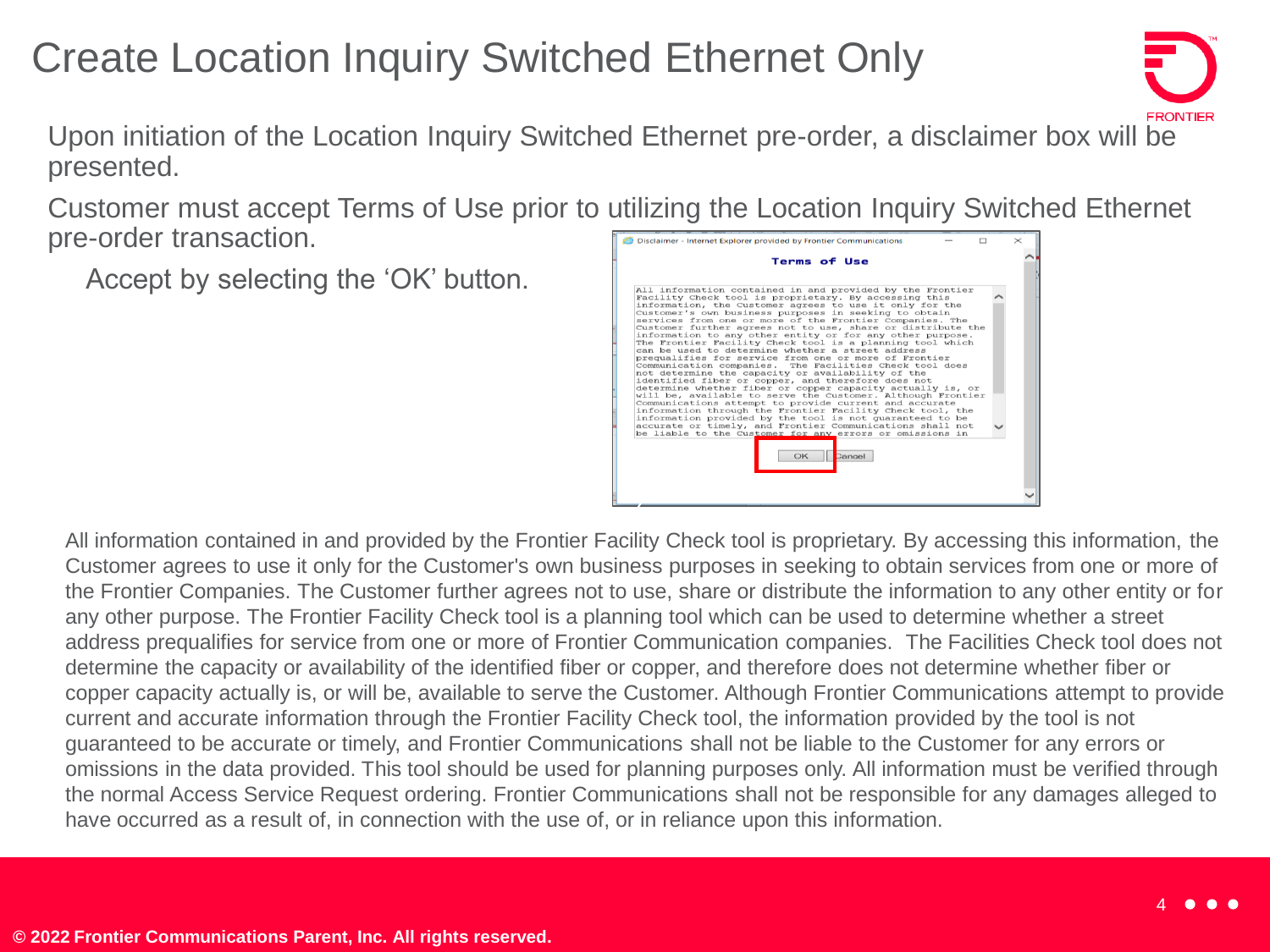### Create Location Inquiry Switched Ethernet Only



• Upon initiation of the Location Inquiry Switched Ethernet pre-order, a disclaimer box will be presented.

• Customer must accept Terms of Use prior to utilizing the Location Inquiry Switched Ethernet pre-order transaction.

• Accept by selecting the 'OK' button.



All information contained in and provided by the Frontier Facility Check tool is proprietary. By accessing this information, the Customer agrees to use it only for the Customer's own business purposes in seeking to obtain services from one or more of the Frontier Companies. The Customer further agrees not to use, share or distribute the information to any other entity or for any other purpose. The Frontier Facility Check tool is a planning tool which can be used to determine whether a street address prequalifies for service from one or more of Frontier Communication companies. The Facilities Check tool does not determine the capacity or availability of the identified fiber or copper, and therefore does not determine whether fiber or copper capacity actually is, or will be, available to serve the Customer. Although Frontier Communications attempt to provide current and accurate information through the Frontier Facility Check tool, the information provided by the tool is not guaranteed to be accurate or timely, and Frontier Communications shall not be liable to the Customer for any errors or omissions in the data provided. This tool should be used for planning purposes only. All information must be verified through the normal Access Service Request ordering. Frontier Communications shall not be responsible for any damages alleged to have occurred as a result of, in connection with the use of, or in reliance upon this information.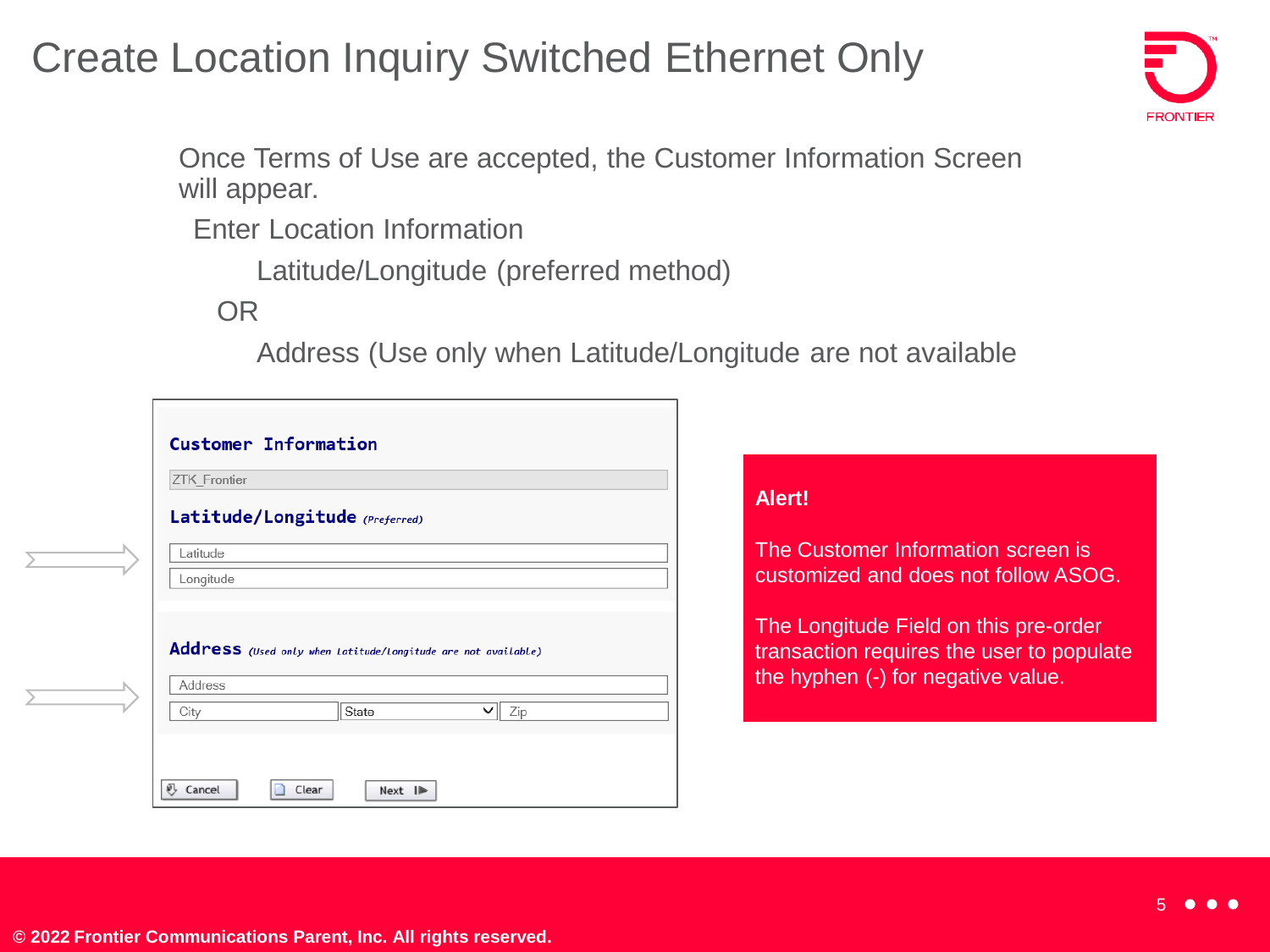#### Create Location Inquiry Switched Ethernet Only



• Once Terms of Use are accepted, the Customer Information Screen will appear.

**Enter Location Information** 

• Latitude/Longitude (preferred method)

OR

• Address (Use only when Latitude/Longitude are not available

| <b>ZTK Frontier</b>                                           |  |  |
|---------------------------------------------------------------|--|--|
|                                                               |  |  |
|                                                               |  |  |
| Address (Used only when Latitude/Longitude are not available) |  |  |
| Zip                                                           |  |  |
|                                                               |  |  |

#### **Alert!**

The Customer Information screen is customized and does not follow ASOG.

The Longitude Field on this pre-order transaction requires the user to populate the hyphen (-) for negative value.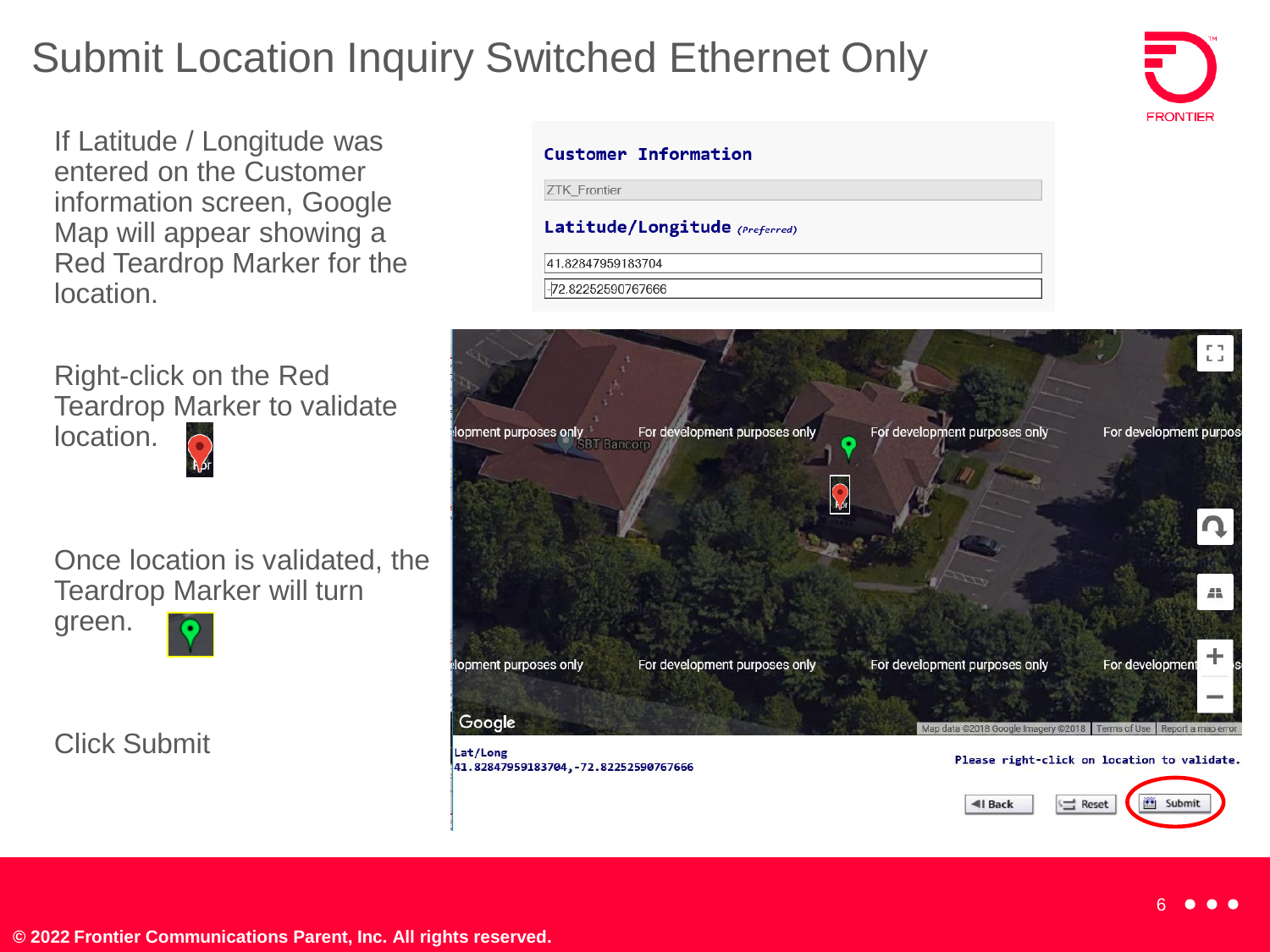### Submit Location Inquiry Switched Ethernet Only

If Latitude / Longitude was entered on the Customer information screen, Google Map will appear showing a Red Teardrop Marker for the location.

• Right-click on the Red Teardrop Marker to validate location.

• Once location is validated, the Teardrop Marker will turn green.

• Click Submit

#### Customer Information

**ZTK Frontier** 

#### Latitude/Longitude (Preferred)

41.82847959183704

-72.82252590767666

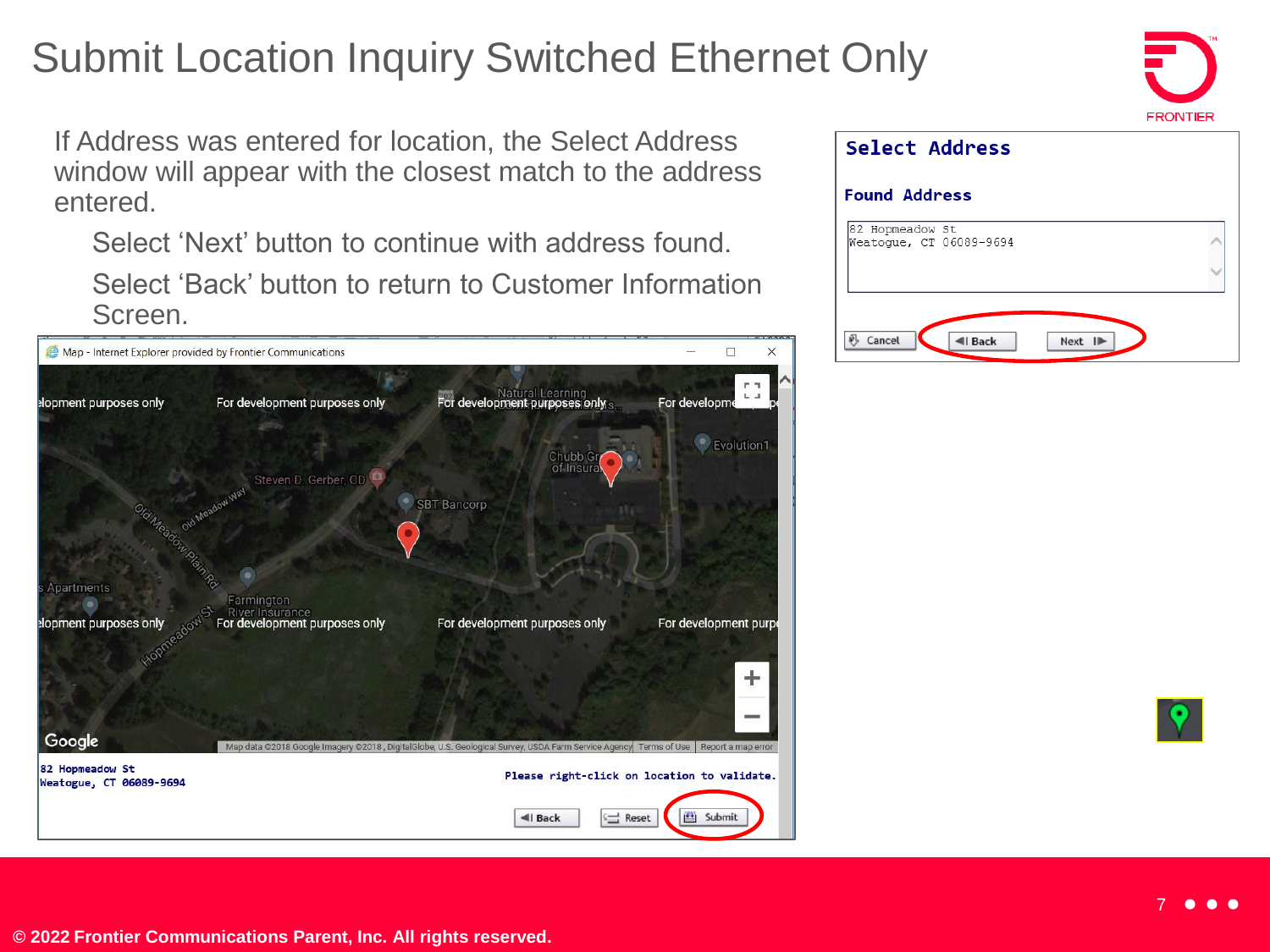### Submit Location Inquiry Switched Ethernet Only

If Address was entered for location, the Select Address window will appear with the closest match to the address entered.

• Select 'Next' button to continue with address found. • Select 'Back' button to return to Customer Information Screen.





| Select Address                             |  |  |  |  |
|--------------------------------------------|--|--|--|--|
| <b>Found Address</b>                       |  |  |  |  |
| 82 Hopmeadow St<br>Weatoque, CT 06089-9694 |  |  |  |  |
| Cancel<br>Next ID<br><b>4</b> Back         |  |  |  |  |